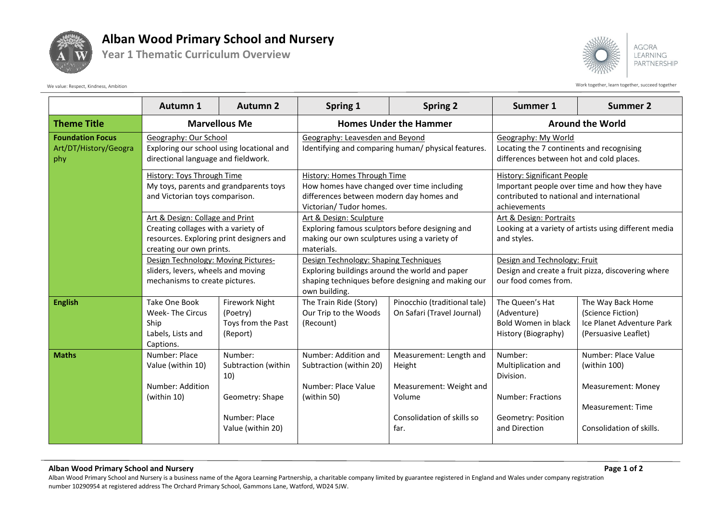

## **Alban Wood Primary School and Nursery**

**Year 1 Thematic Curriculum Overview**



**AGORA LEARNING** PARTNERSHIP

Work together, learn together, learn together, succeed together

|                                                         | Autumn 1                                                                                                                                                                                                            | Autumn 2                                                                                       | Spring 1                                                                                                                                                       | <b>Spring 2</b>                                                                                              | Summer 1                                                                                                                                        | <b>Summer 2</b>                                                                                                   |
|---------------------------------------------------------|---------------------------------------------------------------------------------------------------------------------------------------------------------------------------------------------------------------------|------------------------------------------------------------------------------------------------|----------------------------------------------------------------------------------------------------------------------------------------------------------------|--------------------------------------------------------------------------------------------------------------|-------------------------------------------------------------------------------------------------------------------------------------------------|-------------------------------------------------------------------------------------------------------------------|
| <b>Theme Title</b>                                      | <b>Marvellous Me</b>                                                                                                                                                                                                |                                                                                                | <b>Homes Under the Hammer</b>                                                                                                                                  |                                                                                                              | <b>Around the World</b>                                                                                                                         |                                                                                                                   |
| <b>Foundation Focus</b><br>Art/DT/History/Geogra<br>phy | Geography: Our School<br>Exploring our school using locational and<br>directional language and fieldwork.<br>History: Toys Through Time<br>My toys, parents and grandparents toys<br>and Victorian toys comparison. |                                                                                                | Geography: Leavesden and Beyond<br>Identifying and comparing human/ physical features.                                                                         |                                                                                                              | Geography: My World<br>Locating the 7 continents and recognising<br>differences between hot and cold places.                                    |                                                                                                                   |
|                                                         |                                                                                                                                                                                                                     |                                                                                                | History: Homes Through Time<br>How homes have changed over time including<br>differences between modern day homes and<br>Victorian/ Tudor homes.               |                                                                                                              | <b>History: Significant People</b><br>Important people over time and how they have<br>contributed to national and international<br>achievements |                                                                                                                   |
|                                                         | Art & Design: Collage and Print<br>Creating collages with a variety of<br>resources. Exploring print designers and<br>creating our own prints.                                                                      |                                                                                                | Art & Design: Sculpture<br>Exploring famous sculptors before designing and<br>making our own sculptures using a variety of<br>materials.                       |                                                                                                              | Art & Design: Portraits<br>Looking at a variety of artists using different media<br>and styles.                                                 |                                                                                                                   |
|                                                         | Design Technology: Moving Pictures-<br>sliders, levers, wheels and moving<br>mechanisms to create pictures.                                                                                                         |                                                                                                | Design Technology: Shaping Techniques<br>Exploring buildings around the world and paper<br>shaping techniques before designing and making our<br>own building. |                                                                                                              | Design and Technology: Fruit<br>Design and create a fruit pizza, discovering where<br>our food comes from.                                      |                                                                                                                   |
| <b>English</b>                                          | Take One Book<br><b>Week-The Circus</b><br>Ship<br>Labels, Lists and<br>Captions.                                                                                                                                   | <b>Firework Night</b><br>(Poetry)<br>Toys from the Past<br>(Report)                            | The Train Ride (Story)<br>Our Trip to the Woods<br>(Recount)                                                                                                   | Pinocchio (traditional tale)<br>On Safari (Travel Journal)                                                   | The Queen's Hat<br>(Adventure)<br>Bold Women in black<br>History (Biography)                                                                    | The Way Back Home<br>(Science Fiction)<br>Ice Planet Adventure Park<br>(Persuasive Leaflet)                       |
| <b>Maths</b>                                            | Number: Place<br>Value (within 10)<br>Number: Addition<br>(within 10)                                                                                                                                               | Number:<br>Subtraction (within<br>10)<br>Geometry: Shape<br>Number: Place<br>Value (within 20) | Number: Addition and<br>Subtraction (within 20)<br>Number: Place Value<br>(within 50)                                                                          | Measurement: Length and<br>Height<br>Measurement: Weight and<br>Volume<br>Consolidation of skills so<br>far. | Number:<br>Multiplication and<br>Division.<br><b>Number: Fractions</b><br>Geometry: Position<br>and Direction                                   | Number: Place Value<br>(within 100)<br><b>Measurement: Money</b><br>Measurement: Time<br>Consolidation of skills. |

## **Alban Wood Primary School and Nursery Page 1 of 2**